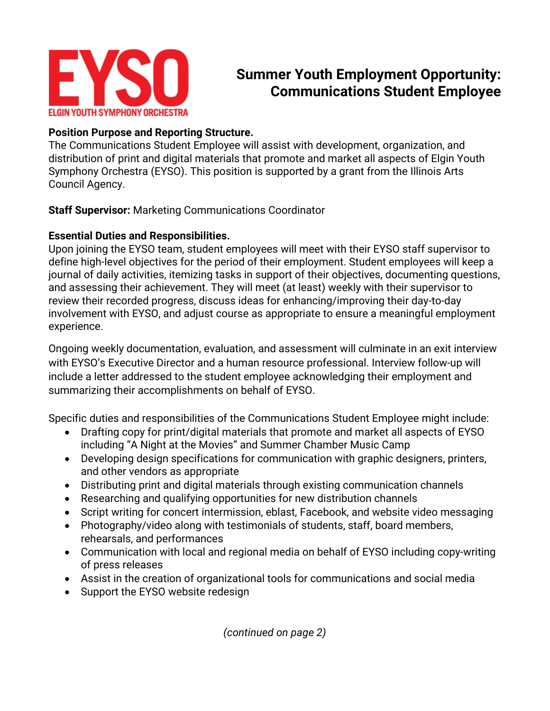

# **Summer Youth Employment Opportunity: Communications Student Employee**

# **Position Purpose and Reporting Structure.**

The Communications Student Employee will assist with development, organization, and distribution of print and digital materials that promote and market all aspects of Elgin Youth Symphony Orchestra (EYSO). This position is supported by a grant from the Illinois Arts Council Agency.

**Staff Supervisor:** Marketing Communications Coordinator

# **Essential Duties and Responsibilities.**

Upon joining the EYSO team, student employees will meet with their EYSO staff supervisor to define high-level objectives for the period of their employment. Student employees will keep a journal of daily activities, itemizing tasks in support of their objectives, documenting questions, and assessing their achievement. They will meet (at least) weekly with their supervisor to review their recorded progress, discuss ideas for enhancing/improving their day-to-day involvement with EYSO, and adjust course as appropriate to ensure a meaningful employment experience.

Ongoing weekly documentation, evaluation, and assessment will culminate in an exit interview with EYSO's Executive Director and a human resource professional. Interview follow-up will include a letter addressed to the student employee acknowledging their employment and summarizing their accomplishments on behalf of EYSO.

Specific duties and responsibilities of the Communications Student Employee might include:

- Drafting copy for print/digital materials that promote and market all aspects of EYSO including "A Night at the Movies" and Summer Chamber Music Camp
- Developing design specifications for communication with graphic designers, printers, and other vendors as appropriate
- Distributing print and digital materials through existing communication channels
- Researching and qualifying opportunities for new distribution channels
- Script writing for concert intermission, eblast, Facebook, and website video messaging
- Photography/video along with testimonials of students, staff, board members, rehearsals, and performances
- Communication with local and regional media on behalf of EYSO including copy-writing of press releases
- Assist in the creation of organizational tools for communications and social media
- Support the EYSO website redesign

*(continued on page 2)*